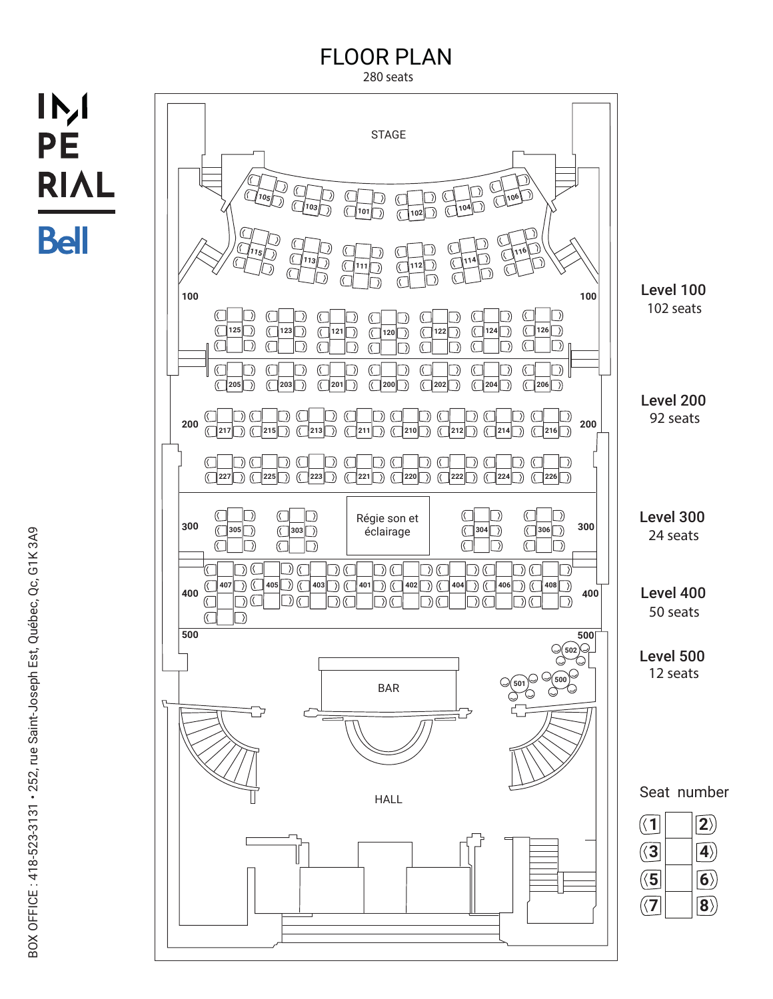## FLOOR PLAN